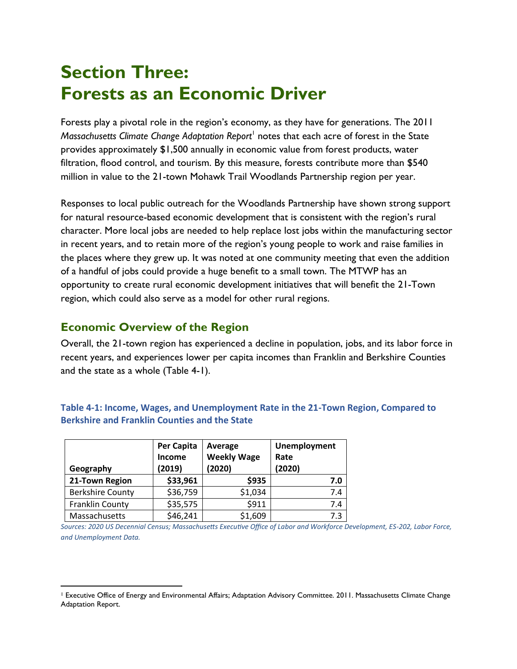# **Section Three: Forests as an Economic Driver**

Forests play a pivotal role in the region's economy, as they have for generations. The 2011 Massachusetts Climate Change Adaptation Report<sup>1</sup> notes that each acre of forest in the State provides approximately \$1,500 annually in economic value from forest products, water filtration, flood control, and tourism. By this measure, forests contribute more than \$540 million in value to the 21-town Mohawk Trail Woodlands Partnership region per year.

Responses to local public outreach for the Woodlands Partnership have shown strong support for natural resource-based economic development that is consistent with the region's rural character. More local jobs are needed to help replace lost jobs within the manufacturing sector in recent years, and to retain more of the region's young people to work and raise families in the places where they grew up. It was noted at one community meeting that even the addition of a handful of jobs could provide a huge benefit to a small town. The MTWP has an opportunity to create rural economic development initiatives that will benefit the 21-Town region, which could also serve as a model for other rural regions.

### **Economic Overview of the Region**

Overall, the 21-town region has experienced a decline in population, jobs, and its labor force in recent years, and experiences lower per capita incomes than Franklin and Berkshire Counties and the state as a whole (Table 4-1).

| Geography               | Per Capita<br>Income<br>(2019) | Average<br><b>Weekly Wage</b><br>(2020) | Unemployment<br>Rate<br>(2020) |  |
|-------------------------|--------------------------------|-----------------------------------------|--------------------------------|--|
| 21-Town Region          | \$33,961                       | \$935                                   | 7.0                            |  |
| <b>Berkshire County</b> | \$36,759                       | \$1,034                                 | 7.4                            |  |
| Franklin County         | \$35,575                       | \$911                                   | 7.4                            |  |
| Massachusetts           | \$46,241                       | \$1,609                                 | 7.3                            |  |

**Table 4-1: Income, Wages, and Unemployment Rate in the 21-Town Region, Compared to Berkshire and Franklin Counties and the State**

*Sources: 2020 US Decennial Census; Massachusetts Executive Office of Labor and Workforce Development, ES-202, Labor Force, and Unemployment Data.*

<sup>1</sup> Executive Office of Energy and Environmental Affairs; Adaptation Advisory Committee. 2011. Massachusetts Climate Change Adaptation Report.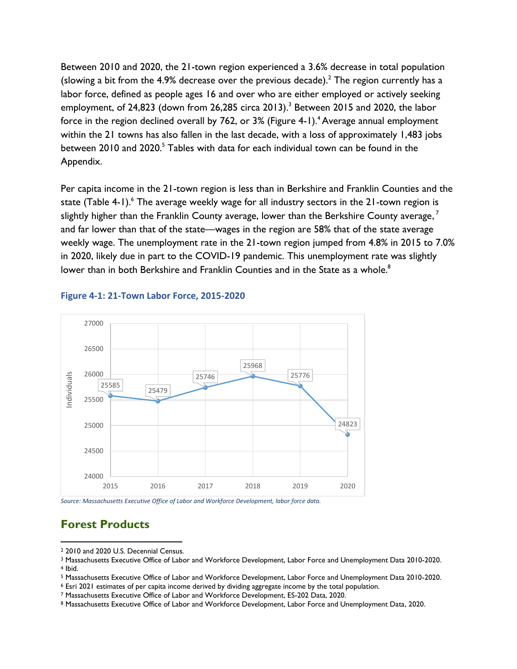Between 2010 and 2020, the 21-town region experienced a 3.6% decrease in total population (slowing a bit from the 4.9% decrease over the previous decade).<sup>2</sup> The region currently has a labor force, defined as people ages 16 and over who are either employed or actively seeking employment, of 24,823 (down from 26,285 circa 2013). $^3$  Between 2015 and 2020, the labor force in the region declined overall by 762, or  $3\%$  (Figure 4-1).<sup>4</sup> Average annual employment within the 21 towns has also fallen in the last decade, with a loss of approximately 1,483 jobs between 2010 and 2020.<sup>5</sup> Tables with data for each individual town can be found in the Appendix.

Per capita income in the 21-town region is less than in Berkshire and Franklin Counties and the state (Table 4-1).<sup>6</sup> The average weekly wage for all industry sectors in the 21-town region is slightly higher than the Franklin County average, lower than the Berkshire County average,  $^7$ and far lower than that of the state—wages in the region are 58% that of the state average weekly wage. The unemployment rate in the 21-town region jumped from 4.8% in 2015 to 7.0% in 2020, likely due in part to the COVID-19 pandemic. This unemployment rate was slightly lower than in both Berkshire and Franklin Counties and in the State as a whole.<sup>8</sup>



#### **Figure 4-1: 21-Town Labor Force, 2015-2020**

*Source: Massachusetts Executive Office of Labor and Workforce Development, labor force data.*

## **Forest Products**

<sup>2</sup> 2010 and 2020 U.S. Decennial Census.

<sup>3</sup> Massachusetts Executive Office of Labor and Workforce Development, Labor Force and Unemployment Data 2010-2020. <sup>4</sup> Ibid.

<sup>5</sup> Massachusetts Executive Office of Labor and Workforce Development, Labor Force and Unemployment Data 2010-2020.

<sup>6</sup> Esri 2021 estimates of per capita income derived by dividing aggregate income by the total population.

<sup>7</sup> Massachusetts Executive Office of Labor and Workforce Development, ES-202 Data, 2020.

<sup>8</sup> Massachusetts Executive Office of Labor and Workforce Development, Labor Force and Unemployment Data, 2020.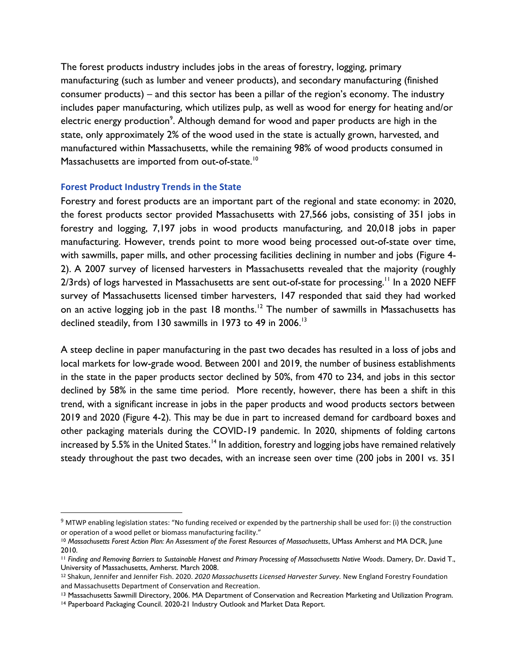The forest products industry includes jobs in the areas of forestry, logging, primary manufacturing (such as lumber and veneer products), and secondary manufacturing (finished consumer products) – and this sector has been a pillar of the region's economy. The industry includes paper manufacturing, which utilizes pulp, as well as wood for energy for heating and/or electric energy production<sup>9</sup>. Although demand for wood and paper products are high in the state, only approximately 2% of the wood used in the state is actually grown, harvested, and manufactured within Massachusetts, while the remaining 98% of wood products consumed in Massachusetts are imported from out-of-state.<sup>10</sup>

#### **Forest Product Industry Trends in the State**

Forestry and forest products are an important part of the regional and state economy: in 2020, the forest products sector provided Massachusetts with 27,566 jobs, consisting of 351 jobs in forestry and logging, 7,197 jobs in wood products manufacturing, and 20,018 jobs in paper manufacturing. However, trends point to more wood being processed out-of-state over time, with sawmills, paper mills, and other processing facilities declining in number and jobs (Figure 4-2). A 2007 survey of licensed harvesters in Massachusetts revealed that the majority (roughly 2/3rds) of logs harvested in Massachusetts are sent out-of-state for processing.<sup>11</sup> In a 2020 NEFF survey of Massachusetts licensed timber harvesters, 147 responded that said they had worked on an active logging job in the past 18 months.<sup>12</sup> The number of sawmills in Massachusetts has declined steadily, from 130 sawmills in 1973 to 49 in 2006.<sup>13</sup>

A steep decline in paper manufacturing in the past two decades has resulted in a loss of jobs and local markets for low-grade wood. Between 2001 and 2019, the number of business establishments in the state in the paper products sector declined by 50%, from 470 to 234, and jobs in this sector declined by 58% in the same time period. More recently, however, there has been a shift in this trend, with a significant increase in jobs in the paper products and wood products sectors between 2019 and 2020 (Figure 4-2). This may be due in part to increased demand for cardboard boxes and other packaging materials during the COVID-19 pandemic. In 2020, shipments of folding cartons increased by 5.5% in the United States.<sup>14</sup> In addition, forestry and logging jobs have remained relatively steady throughout the past two decades, with an increase seen over time (200 jobs in 2001 vs. 351

 $9$  MTWP enabling legislation states: "No funding received or expended by the partnership shall be used for: (i) the construction or operation of a wood pellet or biomass manufacturing facility."

<sup>&</sup>lt;sup>10</sup> Massachusetts Forest Action Plan: An Assessment of the Forest Resources of Massachusetts, UMass Amherst and MA DCR, June 2010.

<sup>11</sup> *Finding and Removing Barriers to Sustainable Harvest and Primary Processing of Massachusetts Native Woods*. Damery, Dr. David T., University of Massachusetts, Amherst. March 2008.

<sup>12</sup> Shakun, Jennifer and Jennifer Fish. 2020. *2020 Massachusetts Licensed Harvester Survey.* New England Forestry Foundation and Massachusetts Department of Conservation and Recreation.

<sup>13</sup> Massachusetts Sawmill Directory, 2006. MA Department of Conservation and Recreation Marketing and Utilization Program.

<sup>14</sup> Paperboard Packaging Council. 2020-21 Industry Outlook and Market Data Report.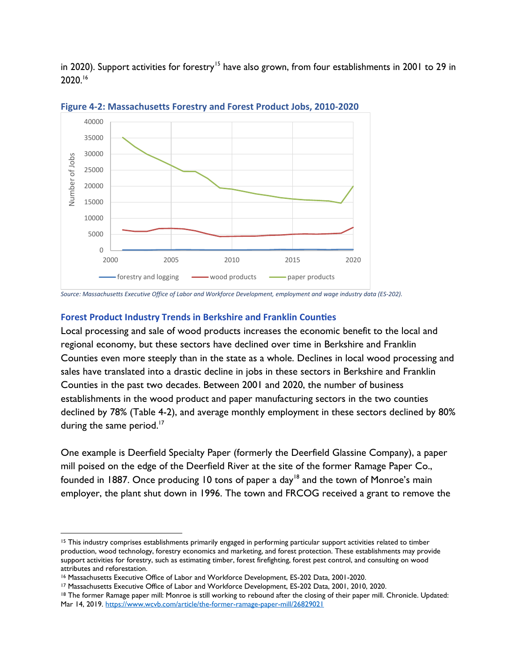in 2020). Support activities for forestry<sup>15</sup> have also grown, from four establishments in 2001 to 29 in 2020. 16



**Figure 4-2: Massachusetts Forestry and Forest Product Jobs, 2010-2020**

*Source: Massachusetts Executive Office of Labor and Workforce Development, employment and wage industry data (ES-202).*

#### **Forest Product Industry Trends in Berkshire and Franklin Counties**

Local processing and sale of wood products increases the economic benefit to the local and regional economy, but these sectors have declined over time in Berkshire and Franklin Counties even more steeply than in the state as a whole. Declines in local wood processing and sales have translated into a drastic decline in jobs in these sectors in Berkshire and Franklin Counties in the past two decades. Between 2001 and 2020, the number of business establishments in the wood product and paper manufacturing sectors in the two counties declined by 78% (Table 4-2), and average monthly employment in these sectors declined by 80% during the same period.<sup>17</sup>

One example is Deerfield Specialty Paper (formerly the Deerfield Glassine Company), a paper mill poised on the edge of the Deerfield River at the site of the former Ramage Paper Co., founded in 1887. Once producing 10 tons of paper a day<sup>18</sup> and the town of Monroe's main employer, the plant shut down in 1996. The town and FRCOG received a grant to remove the

<sup>15</sup> This industry comprises establishments primarily engaged in performing particular support activities related to timber production, wood technology, forestry economics and marketing, and forest protection. These establishments may provide support activities for forestry, such as estimating timber, forest firefighting, forest pest control, and consulting on wood attributes and reforestation.

<sup>16</sup> Massachusetts Executive Office of Labor and Workforce Development, ES-202 Data, 2001-2020.

<sup>17</sup> Massachusetts Executive Office of Labor and Workforce Development, ES-202 Data, 2001, 2010, 2020.

<sup>&</sup>lt;sup>18</sup> The former Ramage paper mill: Monroe is still working to rebound after the closing of their paper mill. Chronicle. Updated: Mar 14, 2019. [https://www.wcvb.com/article/the-former-ramage-paper-mill/26829021](about:blank)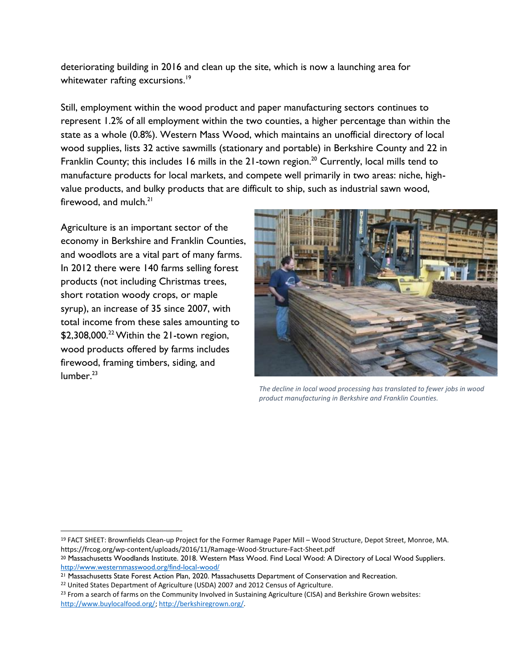deteriorating building in 2016 and clean up the site, which is now a launching area for whitewater rafting excursions.<sup>19</sup>

Still, employment within the wood product and paper manufacturing sectors continues to represent 1.2% of all employment within the two counties, a higher percentage than within the state as a whole (0.8%). Western Mass Wood, which maintains an unofficial directory of local wood supplies, lists 32 active sawmills (stationary and portable) in Berkshire County and 22 in Franklin County; this includes 16 mills in the 21-town region.<sup>20</sup> Currently, local mills tend to manufacture products for local markets, and compete well primarily in two areas: niche, highvalue products, and bulky products that are difficult to ship, such as industrial sawn wood, firewood, and mulch. $21$ 

Agriculture is an important sector of the economy in Berkshire and Franklin Counties, and woodlots are a vital part of many farms. In 2012 there were 140 farms selling forest products (not including Christmas trees, short rotation woody crops, or maple syrup), an increase of 35 since 2007, with total income from these sales amounting to \$2,308,000.<sup>22</sup> Within the 21-town region, wood products offered by farms includes firewood, framing timbers, siding, and lumber. $23$ 



*The decline in local wood processing has translated to fewer jobs in wood product manufacturing in Berkshire and Franklin Counties.*

<sup>19</sup> FACT SHEET: Brownfields Clean-up Project for the Former Ramage Paper Mill – Wood Structure, Depot Street, Monroe, MA. https://frcog.org/wp-content/uploads/2016/11/Ramage-Wood-Structure-Fact-Sheet.pdf

<sup>23</sup> From a search of farms on the Community Involved in Sustaining Agriculture (CISA) and Berkshire Grown websites: [http://www.buylocalfood.org/; http://berkshiregrown.org/.](about:blank)

<sup>20</sup> Massachusetts Woodlands Institute. 2018. Western Mass Wood. Find Local Wood: A Directory of Local Wood Suppliers. [http://www.westernmasswood.org/find-local-wood/](about:blank)

<sup>21</sup> Massachusetts State Forest Action Plan, 2020. Massachusetts Department of Conservation and Recreation.

<sup>22</sup> United States Department of Agriculture (USDA) 2007 and 2012 Census of Agriculture.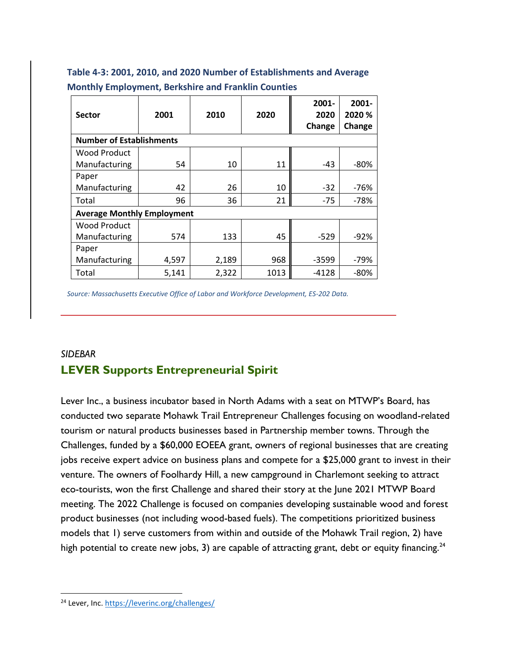### **Table 4-3: 2001, 2010, and 2020 Number of Establishments and Average Monthly Employment, Berkshire and Franklin Counties**

| <b>Sector</b>                     | 2001  | 2010  | 2020 | $2001 -$<br>2020<br>Change | 2001-<br>2020 %<br>Change |  |  |
|-----------------------------------|-------|-------|------|----------------------------|---------------------------|--|--|
| <b>Number of Establishments</b>   |       |       |      |                            |                           |  |  |
| <b>Wood Product</b>               |       |       |      |                            |                           |  |  |
| Manufacturing                     | 54    | 10    | 11   | $-43$                      | $-80%$                    |  |  |
| Paper                             |       |       |      |                            |                           |  |  |
| Manufacturing                     | 42    | 26    | 10   | -32                        | -76%                      |  |  |
| Total                             | 96    | 36    | 21   | -75                        | -78%                      |  |  |
| <b>Average Monthly Employment</b> |       |       |      |                            |                           |  |  |
| <b>Wood Product</b>               |       |       |      |                            |                           |  |  |
| Manufacturing                     | 574   | 133   | 45   | $-529$                     | $-92%$                    |  |  |
| Paper                             |       |       |      |                            |                           |  |  |
| Manufacturing                     | 4,597 | 2,189 | 968  | $-3599$                    | $-79%$                    |  |  |
| Total                             | 5,141 | 2,322 | 1013 | $-4128$                    | -80%                      |  |  |

*Source: Massachusetts Executive Office of Labor and Workforce Development, ES-202 Data.*

# *SIDEBAR* **LEVER Supports Entrepreneurial Spirit**

Lever Inc., a business incubator based in North Adams with a seat on MTWP's Board, has conducted two separate Mohawk Trail Entrepreneur Challenges focusing on woodland-related tourism or natural products businesses based in Partnership member towns. Through the Challenges, funded by a \$60,000 EOEEA grant, owners of regional businesses that are creating jobs receive expert advice on business plans and compete for a \$25,000 grant to invest in their venture. The owners of Foolhardy Hill, a new campground in Charlemont seeking to attract eco-tourists, won the first Challenge and shared their story at the June 2021 MTWP Board meeting. The 2022 Challenge is focused on companies developing sustainable wood and forest product businesses (not including wood-based fuels). The competitions prioritized business models that 1) serve customers from within and outside of the Mohawk Trail region, 2) have high potential to create new jobs, 3) are capable of attracting grant, debt or equity financing.<sup>24</sup>

<sup>24</sup> Lever, Inc[. https://leverinc.org/challenges/](about:blank)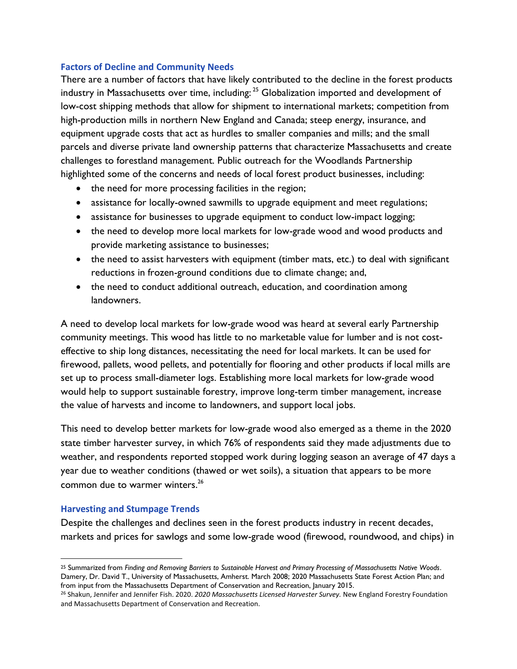#### **Factors of Decline and Community Needs**

There are a number of factors that have likely contributed to the decline in the forest products industry in Massachusetts over time, including: <sup>25</sup> Globalization imported and development of low-cost shipping methods that allow for shipment to international markets; competition from high-production mills in northern New England and Canada; steep energy, insurance, and equipment upgrade costs that act as hurdles to smaller companies and mills; and the small parcels and diverse private land ownership patterns that characterize Massachusetts and create challenges to forestland management. Public outreach for the Woodlands Partnership highlighted some of the concerns and needs of local forest product businesses, including:

- the need for more processing facilities in the region;
- assistance for locally-owned sawmills to upgrade equipment and meet regulations;
- assistance for businesses to upgrade equipment to conduct low-impact logging;
- the need to develop more local markets for low-grade wood and wood products and provide marketing assistance to businesses;
- the need to assist harvesters with equipment (timber mats, etc.) to deal with significant reductions in frozen-ground conditions due to climate change; and,
- the need to conduct additional outreach, education, and coordination among landowners.

A need to develop local markets for low-grade wood was heard at several early Partnership community meetings. This wood has little to no marketable value for lumber and is not costeffective to ship long distances, necessitating the need for local markets. It can be used for firewood, pallets, wood pellets, and potentially for flooring and other products if local mills are set up to process small-diameter logs. Establishing more local markets for low-grade wood would help to support sustainable forestry, improve long-term timber management, increase the value of harvests and income to landowners, and support local jobs.

This need to develop better markets for low-grade wood also emerged as a theme in the 2020 state timber harvester survey, in which 76% of respondents said they made adjustments due to weather, and respondents reported stopped work during logging season an average of 47 days a year due to weather conditions (thawed or wet soils), a situation that appears to be more common due to warmer winters.<sup>26</sup>

#### **Harvesting and Stumpage Trends**

Despite the challenges and declines seen in the forest products industry in recent decades, markets and prices for sawlogs and some low-grade wood (firewood, roundwood, and chips) in

<sup>25</sup> Summarized from *Finding and Removing Barriers to Sustainable Harvest and Primary Processing of Massachusetts Native Woods*. Damery, Dr. David T., University of Massachusetts, Amherst. March 2008; 2020 Massachusetts State Forest Action Plan; and from input from the Massachusetts Department of Conservation and Recreation, January 2015.

<sup>26</sup> Shakun, Jennifer and Jennifer Fish. 2020. *2020 Massachusetts Licensed Harvester Survey.* New England Forestry Foundation and Massachusetts Department of Conservation and Recreation.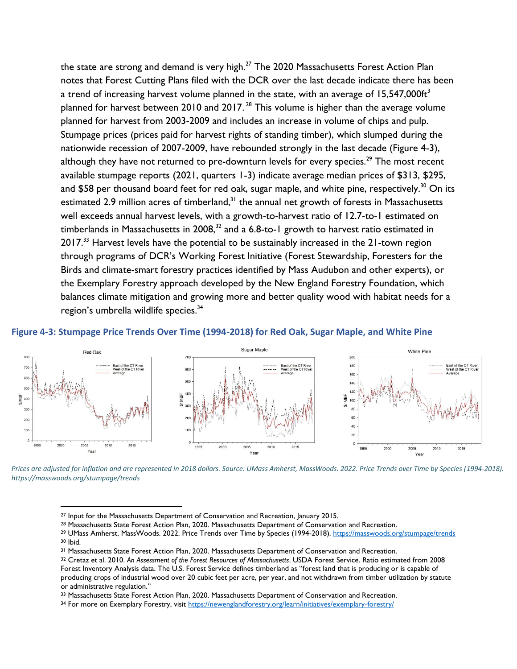the state are strong and demand is very high.<sup>27</sup> The 2020 Massachusetts Forest Action Plan notes that Forest Cutting Plans filed with the DCR over the last decade indicate there has been a trend of increasing harvest volume planned in the state, with an average of  $15,547,000$ ft<sup>3</sup> planned for harvest between 2010 and 2017.  $^{28}$  This volume is higher than the average volume planned for harvest from 2003-2009 and includes an increase in volume of chips and pulp. Stumpage prices (prices paid for harvest rights of standing timber), which slumped during the nationwide recession of 2007-2009, have rebounded strongly in the last decade (Figure 4-3), although they have not returned to pre-downturn levels for every species.<sup>29</sup> The most recent available stumpage reports (2021, quarters 1-3) indicate average median prices of \$313, \$295, and \$58 per thousand board feet for red oak, sugar maple, and white pine, respectively.<sup>30</sup> On its estimated 2.9 million acres of timberland,<sup>31</sup> the annual net growth of forests in Massachusetts well exceeds annual harvest levels, with a growth-to-harvest ratio of 12.7-to-1 estimated on timberlands in Massachusetts in 2008, $32$  and a 6.8-to-1 growth to harvest ratio estimated in 2017.<sup>33</sup> Harvest levels have the potential to be sustainably increased in the 21-town region through programs of DCR's Working Forest Initiative (Forest Stewardship, Foresters for the Birds and climate-smart forestry practices identified by Mass Audubon and other experts), or the Exemplary Forestry approach developed by the New England Forestry Foundation, which balances climate mitigation and growing more and better quality wood with habitat needs for a region's umbrella wildlife species.<sup>34</sup>



#### **Figure 4-3: Stumpage Price Trends Over Time (1994-2018) for Red Oak, Sugar Maple, and White Pine**

*Prices are adjusted for inflation and are represented in 2018 dollars. Source: UMass Amherst, MassWoods. 2022. Price Trends over Time by Species (1994-2018). https://masswoods.org/stumpage/trends*

<sup>27</sup> Input for the Massachusetts Department of Conservation and Recreation, January 2015.

<sup>28</sup> Massachusetts State Forest Action Plan, 2020. Massachusetts Department of Conservation and Recreation.

<sup>&</sup>lt;sup>29</sup> UMass Amherst, MassWoods. 2022. Price Trends over Time by Species (1994-2018)[. https://masswoods.org/stumpage/trends](about:blank) <sup>30</sup> Ibid.

<sup>&</sup>lt;sup>31</sup> Massachusetts State Forest Action Plan, 2020. Massachusetts Department of Conservation and Recreation.

<sup>32</sup> Cretaz et al. 2010. *An Assessment of the Forest Resources of Massachusetts*. USDA Forest Service. Ratio estimated from 2008 Forest Inventory Analysis data. The U.S. Forest Service defines timberland as "forest land that is producing or is capable of producing crops of industrial wood over 20 cubic feet per acre, per year, and not withdrawn from timber utilization by statute or administrative regulation."

<sup>33</sup> Massachusetts State Forest Action Plan, 2020. Massachusetts Department of Conservation and Recreation.

<sup>34</sup> For more on Exemplary Forestry, visit [https://newenglandforestry.org/learn/initiatives/exemplary-forestry/](about:blank)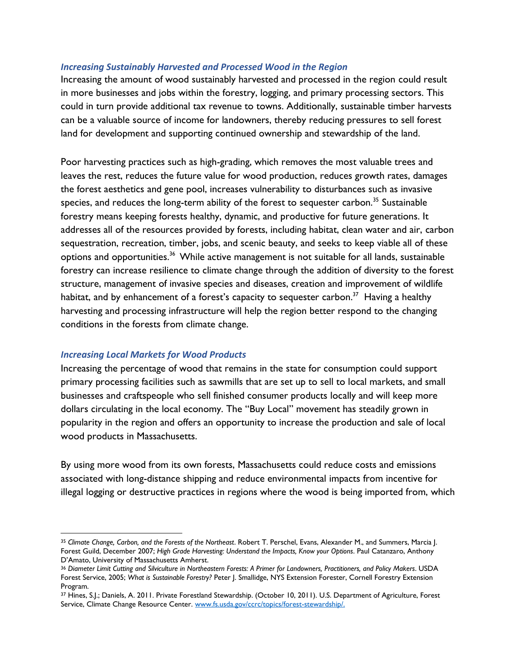#### *Increasing Sustainably Harvested and Processed Wood in the Region*

Increasing the amount of wood sustainably harvested and processed in the region could result in more businesses and jobs within the forestry, logging, and primary processing sectors. This could in turn provide additional tax revenue to towns. Additionally, sustainable timber harvests can be a valuable source of income for landowners, thereby reducing pressures to sell forest land for development and supporting continued ownership and stewardship of the land.

Poor harvesting practices such as high-grading, which removes the most valuable trees and leaves the rest, reduces the future value for wood production, reduces growth rates, damages the forest aesthetics and gene pool, increases vulnerability to disturbances such as invasive species, and reduces the long-term ability of the forest to sequester carbon.<sup>35</sup> Sustainable forestry means keeping forests healthy, dynamic, and productive for future generations. It addresses all of the resources provided by forests, including habitat, clean water and air, carbon sequestration, recreation, timber, jobs, and scenic beauty, and seeks to keep viable all of these options and opportunities.<sup>36</sup> While active management is not suitable for all lands, sustainable forestry can increase resilience to climate change through the addition of diversity to the forest structure, management of invasive species and diseases, creation and improvement of wildlife habitat, and by enhancement of a forest's capacity to sequester carbon.<sup>37</sup> Having a healthy harvesting and processing infrastructure will help the region better respond to the changing conditions in the forests from climate change.

#### *Increasing Local Markets for Wood Products*

Increasing the percentage of wood that remains in the state for consumption could support primary processing facilities such as sawmills that are set up to sell to local markets, and small businesses and craftspeople who sell finished consumer products locally and will keep more dollars circulating in the local economy. The "Buy Local" movement has steadily grown in popularity in the region and offers an opportunity to increase the production and sale of local wood products in Massachusetts.

By using more wood from its own forests, Massachusetts could reduce costs and emissions associated with long-distance shipping and reduce environmental impacts from incentive for illegal logging or destructive practices in regions where the wood is being imported from, which

<sup>35</sup> *Climate Change, Carbon, and the Forests of the Northeast*. Robert T. Perschel, Evans, Alexander M., and Summers, Marcia J. Forest Guild, December 2007; *High Grade Harvesting: Understand the Impacts, Know your Options*. Paul Catanzaro, Anthony D'Amato, University of Massachusetts Amherst.

<sup>36</sup> *Diameter Limit Cutting and Silviculture in Northeastern Forests: A Primer for Landowners, Practitioners, and Policy Makers*. USDA Forest Service, 2005; *What is Sustainable Forestry?* Peter J. Smallidge, NYS Extension Forester, Cornell Forestry Extension Program.

<sup>37</sup> Hines, S.J.; Daniels, A. 2011. Private Forestland Stewardship. (October 10, 2011). U.S. Department of Agriculture, Forest Service, Climate Change Resource Center. [www.fs.usda.gov/ccrc/topics/forest-stewardship/.](about:blank)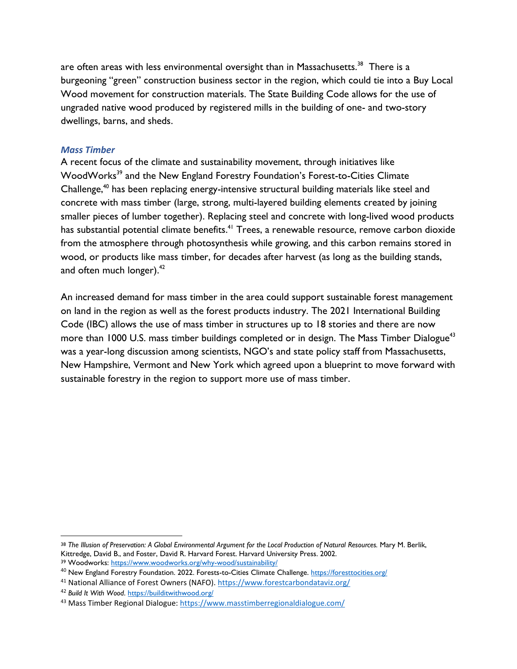are often areas with less environmental oversight than in Massachusetts. $^{38}$  There is a burgeoning "green" construction business sector in the region, which could tie into a Buy Local Wood movement for construction materials. The State Building Code allows for the use of ungraded native wood produced by registered mills in the building of one- and two-story dwellings, barns, and sheds.

#### *Mass Timber*

A recent focus of the climate and sustainability movement, through initiatives like WoodWorks<sup>39</sup> and the New England Forestry Foundation's Forest-to-Cities Climate Challenge,<sup>40</sup> has been replacing energy-intensive structural building materials like steel and concrete with mass timber (large, strong, multi-layered building elements created by joining smaller pieces of lumber together). Replacing steel and concrete with long-lived wood products has substantial potential climate benefits.<sup>41</sup> Trees, a renewable resource, remove carbon dioxide from the atmosphere through photosynthesis while growing, and this carbon remains stored in wood, or products like mass timber, for decades after harvest (as long as the building stands, and often much longer). $^{42}$ 

An increased demand for mass timber in the area could support sustainable forest management on land in the region as well as the forest products industry. The 2021 International Building Code (IBC) allows the use of mass timber in structures up to 18 stories and there are now more than 1000 U.S. mass timber buildings completed or in design. The Mass Timber Dialogue<sup>43</sup> was a year-long discussion among scientists, NGO's and state policy staff from Massachusetts, New Hampshire, Vermont and New York which agreed upon a blueprint to move forward with sustainable forestry in the region to support more use of mass timber.

<sup>38</sup> *The Illusion of Preservation: A Global Environmental Argument for the Local Production of Natural Resources.* Mary M. Berlik, Kittredge, David B., and Foster, David R. Harvard Forest. Harvard University Press. 2002.

<sup>39</sup> Woodworks[: https://www.woodworks.org/why-wood/sustainability/](about:blank)

<sup>40</sup> New England Forestry Foundation. 2022. Forests-to-Cities Climate Challenge. [https://foresttocities.org/](about:blank)

<sup>41</sup> National Alliance of Forest Owners (NAFO). [https://www.forestcarbondataviz.org/](about:blank)

<sup>42</sup> *Build It With Wood*. [https://builditwithwood.org/](about:blank)

<sup>43</sup> Mass Timber Regional Dialogue: [https://www.masstimberregionaldialogue.com/](about:blank)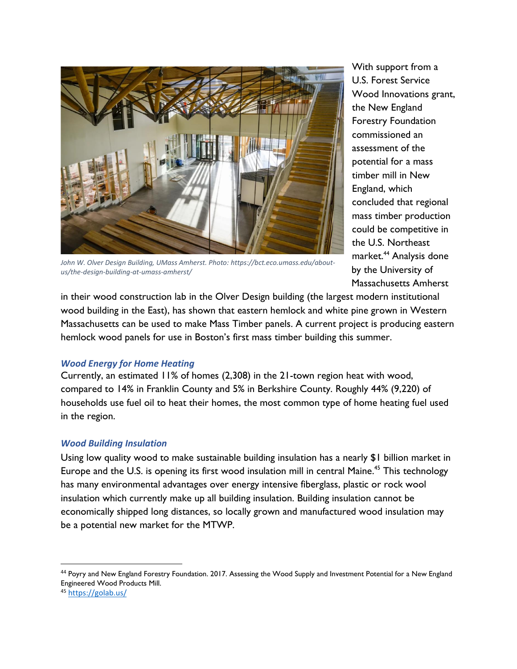

Wood Innovations grant, the New England Forestry Foundation commissioned an assessment of the potential for a mass timber mill in New England, which concluded that regional mass timber production could be competitive in the U.S. Northeast market.<sup>44</sup> Analysis done by the University of Massachusetts Amherst

With support from a U.S. Forest Service

*John W. Olver Design Building, UMass Amherst. Photo: https://bct.eco.umass.edu/aboutus/the-design-building-at-umass-amherst/*

in their wood construction lab in the Olver Design building (the largest modern institutional wood building in the East), has shown that eastern hemlock and white pine grown in Western Massachusetts can be used to make Mass Timber panels. A current project is producing eastern hemlock wood panels for use in Boston's first mass timber building this summer.

#### *Wood Energy for Home Heating*

Currently, an estimated 11% of homes (2,308) in the 21-town region heat with wood, compared to 14% in Franklin County and 5% in Berkshire County. Roughly 44% (9,220) of households use fuel oil to heat their homes, the most common type of home heating fuel used in the region.

#### *Wood Building Insulation*

Using low quality wood to make sustainable building insulation has a nearly \$1 billion market in Europe and the U.S. is opening its first wood insulation mill in central Maine.<sup>45</sup> This technology has many environmental advantages over energy intensive fiberglass, plastic or rock wool insulation which currently make up all building insulation. Building insulation cannot be economically shipped long distances, so locally grown and manufactured wood insulation may be a potential new market for the MTWP.

<sup>44</sup> Poyry and New England Forestry Foundation. 2017. Assessing the Wood Supply and Investment Potential for a New England Engineered Wood Products Mill.

<sup>45</sup> [https://golab.us/](about:blank)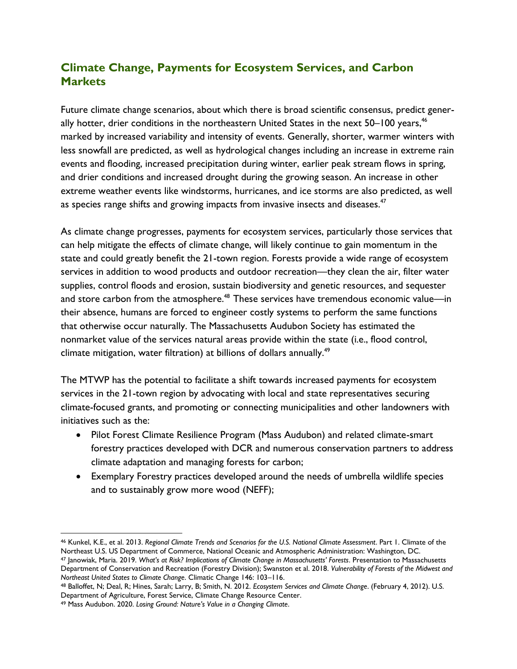# **Climate Change, Payments for Ecosystem Services, and Carbon Markets**

Future climate change scenarios, about which there is broad scientific consensus, predict generally hotter, drier conditions in the northeastern United States in the next 50–100 years, $\rm ^{46}$ marked by increased variability and intensity of events. Generally, shorter, warmer winters with less snowfall are predicted, as well as hydrological changes including an increase in extreme rain events and flooding, increased precipitation during winter, earlier peak stream flows in spring, and drier conditions and increased drought during the growing season. An increase in other extreme weather events like windstorms, hurricanes, and ice storms are also predicted, as well as species range shifts and growing impacts from invasive insects and diseases.<sup>47</sup>

As climate change progresses, payments for ecosystem services, particularly those services that can help mitigate the effects of climate change, will likely continue to gain momentum in the state and could greatly benefit the 21-town region. Forests provide a wide range of ecosystem services in addition to wood products and outdoor recreation—they clean the air, filter water supplies, control floods and erosion, sustain biodiversity and genetic resources, and sequester and store carbon from the atmosphere.<sup>48</sup> These services have tremendous economic value—in their absence, humans are forced to engineer costly systems to perform the same functions that otherwise occur naturally. The Massachusetts Audubon Society has estimated the nonmarket value of the services natural areas provide within the state (i.e., flood control, climate mitigation, water filtration) at billions of dollars annually.<sup>49</sup>

The MTWP has the potential to facilitate a shift towards increased payments for ecosystem services in the 21-town region by advocating with local and state representatives securing climate-focused grants, and promoting or connecting municipalities and other landowners with initiatives such as the:

- Pilot Forest Climate Resilience Program (Mass Audubon) and related climate-smart forestry practices developed with DCR and numerous conservation partners to address climate adaptation and managing forests for carbon;
- Exemplary Forestry practices developed around the needs of umbrella wildlife species and to sustainably grow more wood (NEFF);

<sup>46</sup> Kunkel, K.E., et al. 2013. *Regional Climate Trends and Scenarios for the U.S. National Climate Assessment*. Part 1. Climate of the Northeast U.S. US Department of Commerce, National Oceanic and Atmospheric Administration: Washington, DC.

<sup>47</sup> Janowiak, Maria. 2019. *What's at Risk? Implications of Climate Change in Massachusetts' Forests*. Presentation to Massachusetts Department of Conservation and Recreation (Forestry Division); Swanston et al. 2018. *Vulnerability of Forests of the Midwest and Northeast United States to Climate Change*. Climatic Change 146: 103–116.

<sup>48</sup> Balloffet, N; Deal, R; Hines, Sarah; Larry, B; Smith, N. 2012. *Ecosystem Services and Climate Change*. (February 4, 2012). U.S. Department of Agriculture, Forest Service, Climate Change Resource Center.

<sup>49</sup> Mass Audubon. 2020. *Losing Ground: Nature's Value in a Changing Climate*.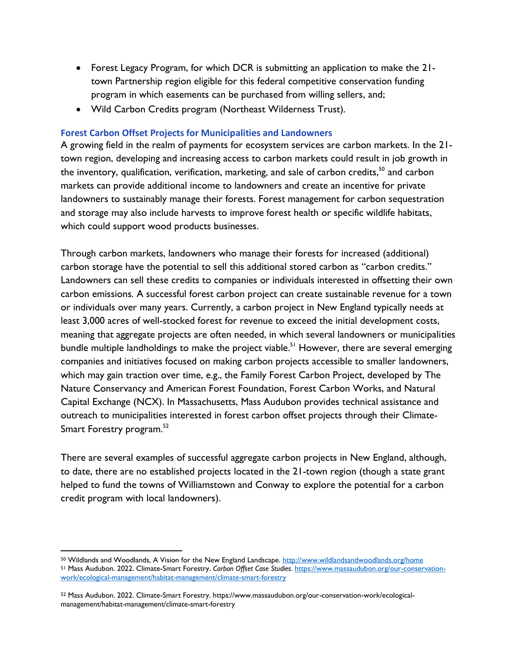- Forest Legacy Program, for which DCR is submitting an application to make the 21 town Partnership region eligible for this federal competitive conservation funding program in which easements can be purchased from willing sellers, and;
- Wild Carbon Credits program (Northeast Wilderness Trust).

#### **Forest Carbon Offset Projects for Municipalities and Landowners**

A growing field in the realm of payments for ecosystem services are carbon markets. In the 21 town region, developing and increasing access to carbon markets could result in job growth in the inventory, qualification, verification, marketing, and sale of carbon credits,<sup>50</sup> and carbon markets can provide additional income to landowners and create an incentive for private landowners to sustainably manage their forests. Forest management for carbon sequestration and storage may also include harvests to improve forest health or specific wildlife habitats, which could support wood products businesses.

Through carbon markets, landowners who manage their forests for increased (additional) carbon storage have the potential to sell this additional stored carbon as "carbon credits." Landowners can sell these credits to companies or individuals interested in offsetting their own carbon emissions. A successful forest carbon project can create sustainable revenue for a town or individuals over many years. Currently, a carbon project in New England typically needs at least 3,000 acres of well-stocked forest for revenue to exceed the initial development costs, meaning that aggregate projects are often needed, in which several landowners or municipalities bundle multiple landholdings to make the project viable.<sup>51</sup> However, there are several emerging companies and initiatives focused on making carbon projects accessible to smaller landowners, which may gain traction over time, e.g., the Family Forest Carbon Project, developed by The Nature Conservancy and American Forest Foundation, Forest Carbon Works, and Natural Capital Exchange (NCX). In Massachusetts, Mass Audubon provides technical assistance and outreach to municipalities interested in forest carbon offset projects through their Climate-Smart Forestry program.<sup>52</sup>

There are several examples of successful aggregate carbon projects in New England, although, to date, there are no established projects located in the 21-town region (though a state grant helped to fund the towns of Williamstown and Conway to explore the potential for a carbon credit program with local landowners).

<sup>50</sup> Wildlands and Woodlands, A Vision for the New England Landscape. [http://www.wildlandsandwoodlands.org/home](about:blank) <sup>51</sup> Mass Audubon. 2022. Climate-Smart Forestry. *Carbon Offset Case Studies*. [https://www.massaudubon.org/our-conservation](about:blank)[work/ecological-management/habitat-management/climate-smart-forestry](about:blank)

<sup>52</sup> Mass Audubon. 2022. Climate-Smart Forestry. https://www.massaudubon.org/our-conservation-work/ecologicalmanagement/habitat-management/climate-smart-forestry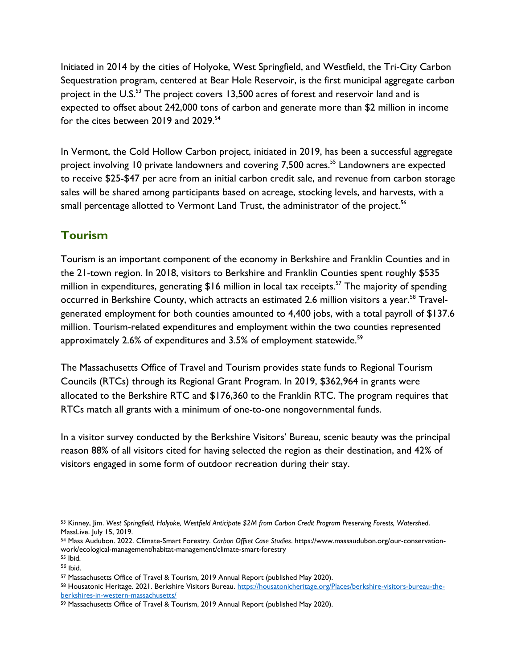Initiated in 2014 by the cities of Holyoke, West Springfield, and Westfield, the Tri-City Carbon Sequestration program, centered at Bear Hole Reservoir, is the first municipal aggregate carbon project in the U.S.<sup>53</sup> The project covers 13,500 acres of forest and reservoir land and is expected to offset about 242,000 tons of carbon and generate more than \$2 million in income for the cites between 2019 and 2029.<sup>54</sup>

In Vermont, the Cold Hollow Carbon project, initiated in 2019, has been a successful aggregate project involving 10 private landowners and covering 7,500 acres.<sup>55</sup> Landowners are expected to receive \$25-\$47 per acre from an initial carbon credit sale, and revenue from carbon storage sales will be shared among participants based on acreage, stocking levels, and harvests, with a small percentage allotted to Vermont Land Trust, the administrator of the project.<sup>56</sup>

# **Tourism**

Tourism is an important component of the economy in Berkshire and Franklin Counties and in the 21-town region. In 2018, visitors to Berkshire and Franklin Counties spent roughly \$535 million in expenditures, generating \$16 million in local tax receipts.<sup>57</sup> The majority of spending occurred in Berkshire County, which attracts an estimated 2.6 million visitors a year.<sup>58</sup> Travelgenerated employment for both counties amounted to 4,400 jobs, with a total payroll of \$137.6 million. Tourism-related expenditures and employment within the two counties represented approximately 2.6% of expenditures and 3.5% of employment statewide.<sup>59</sup>

The Massachusetts Office of Travel and Tourism provides state funds to Regional Tourism Councils (RTCs) through its Regional Grant Program. In 2019, \$362,964 in grants were allocated to the Berkshire RTC and \$176,360 to the Franklin RTC. The program requires that RTCs match all grants with a minimum of one-to-one nongovernmental funds.

In a visitor survey conducted by the Berkshire Visitors' Bureau, scenic beauty was the principal reason 88% of all visitors cited for having selected the region as their destination, and 42% of visitors engaged in some form of outdoor recreation during their stay.

<sup>53</sup> Kinney, Jim. *West Springfield, Holyoke, Westfield Anticipate \$2M from Carbon Credit Program Preserving Forests, Watershed*. MassLive. July 15, 2019.

<sup>54</sup> Mass Audubon. 2022. Climate-Smart Forestry. *Carbon Offset Case Studies*. https://www.massaudubon.org/our-conservationwork/ecological-management/habitat-management/climate-smart-forestry <sup>55</sup> Ibid.

<sup>56</sup> Ibid.

<sup>57</sup> Massachusetts Office of Travel & Tourism, 2019 Annual Report (published May 2020).

<sup>58</sup> Housatonic Heritage. 2021. Berkshire Visitors Bureau. [https://housatonicheritage.org/Places/berkshire-visitors-bureau-the](about:blank)[berkshires-in-western-massachusetts/](about:blank)

<sup>59</sup> Massachusetts Office of Travel & Tourism, 2019 Annual Report (published May 2020).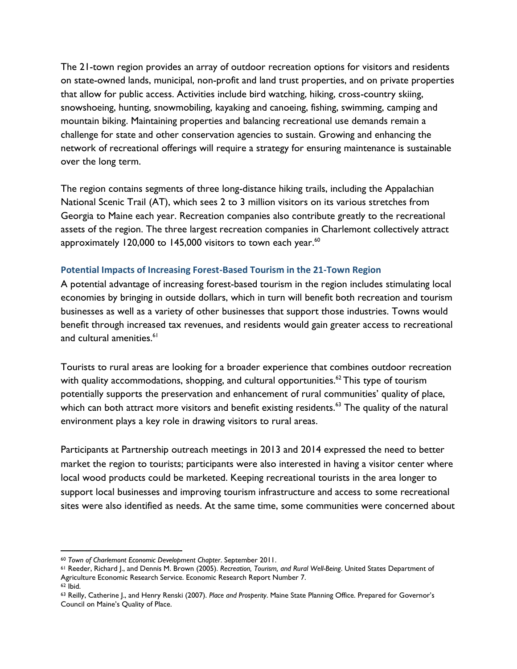The 21-town region provides an array of outdoor recreation options for visitors and residents on state-owned lands, municipal, non-profit and land trust properties, and on private properties that allow for public access. Activities include bird watching, hiking, cross-country skiing, snowshoeing, hunting, snowmobiling, kayaking and canoeing, fishing, swimming, camping and mountain biking. Maintaining properties and balancing recreational use demands remain a challenge for state and other conservation agencies to sustain. Growing and enhancing the network of recreational offerings will require a strategy for ensuring maintenance is sustainable over the long term.

The region contains segments of three long-distance hiking trails, including the Appalachian National Scenic Trail (AT), which sees 2 to 3 million visitors on its various stretches from Georgia to Maine each year. Recreation companies also contribute greatly to the recreational assets of the region. The three largest recreation companies in Charlemont collectively attract approximately 120,000 to 145,000 visitors to town each year. $^{60}$ 

#### **Potential Impacts of Increasing Forest-Based Tourism in the 21-Town Region**

A potential advantage of increasing forest-based tourism in the region includes stimulating local economies by bringing in outside dollars, which in turn will benefit both recreation and tourism businesses as well as a variety of other businesses that support those industries. Towns would benefit through increased tax revenues, and residents would gain greater access to recreational and cultural amenities.<sup>61</sup>

Tourists to rural areas are looking for a broader experience that combines outdoor recreation with quality accommodations, shopping, and cultural opportunities.<sup>62</sup> This type of tourism potentially supports the preservation and enhancement of rural communities' quality of place, which can both attract more visitors and benefit existing residents.<sup>63</sup> The quality of the natural environment plays a key role in drawing visitors to rural areas.

Participants at Partnership outreach meetings in 2013 and 2014 expressed the need to better market the region to tourists; participants were also interested in having a visitor center where local wood products could be marketed. Keeping recreational tourists in the area longer to support local businesses and improving tourism infrastructure and access to some recreational sites were also identified as needs. At the same time, some communities were concerned about

<sup>60</sup> *Town of Charlemont Economic Development Chapter*. September 2011.

<sup>61</sup> Reeder, Richard J., and Dennis M. Brown (2005). *Recreation, Tourism, and Rural Well-Being*. United States Department of Agriculture Economic Research Service. Economic Research Report Number 7. <sup>62</sup> Ibid.

<sup>63</sup> Reilly, Catherine J., and Henry Renski (2007). *Place and Prosperity*. Maine State Planning Office. Prepared for Governor's Council on Maine's Quality of Place.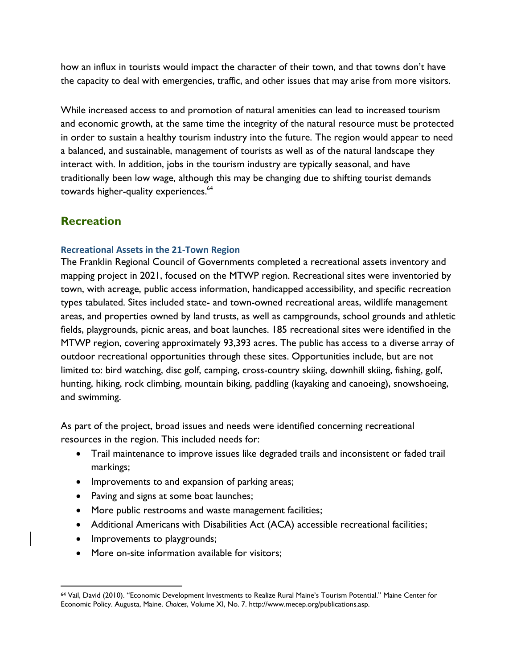how an influx in tourists would impact the character of their town, and that towns don't have the capacity to deal with emergencies, traffic, and other issues that may arise from more visitors.

While increased access to and promotion of natural amenities can lead to increased tourism and economic growth, at the same time the integrity of the natural resource must be protected in order to sustain a healthy tourism industry into the future. The region would appear to need a balanced, and sustainable, management of tourists as well as of the natural landscape they interact with. In addition, jobs in the tourism industry are typically seasonal, and have traditionally been low wage, although this may be changing due to shifting tourist demands towards higher-quality experiences.<sup>64</sup>

### **Recreation**

#### **Recreational Assets in the 21-Town Region**

The Franklin Regional Council of Governments completed a recreational assets inventory and mapping project in 2021, focused on the MTWP region. Recreational sites were inventoried by town, with acreage, public access information, handicapped accessibility, and specific recreation types tabulated. Sites included state- and town-owned recreational areas, wildlife management areas, and properties owned by land trusts, as well as campgrounds, school grounds and athletic fields, playgrounds, picnic areas, and boat launches. 185 recreational sites were identified in the MTWP region, covering approximately 93,393 acres. The public has access to a diverse array of outdoor recreational opportunities through these sites. Opportunities include, but are not limited to: bird watching, disc golf, camping, cross-country skiing, downhill skiing, fishing, golf, hunting, hiking, rock climbing, mountain biking, paddling (kayaking and canoeing), snowshoeing, and swimming.

As part of the project, broad issues and needs were identified concerning recreational resources in the region. This included needs for:

- Trail maintenance to improve issues like degraded trails and inconsistent or faded trail markings;
- Improvements to and expansion of parking areas;
- Paving and signs at some boat launches;
- More public restrooms and waste management facilities;
- Additional Americans with Disabilities Act (ACA) accessible recreational facilities;
- Improvements to playgrounds;
- More on-site information available for visitors;

<sup>64</sup> Vail, David (2010). "Economic Development Investments to Realize Rural Maine's Tourism Potential." Maine Center for Economic Policy. Augusta, Maine. *Choices*, Volume XI, No. 7. http://www.mecep.org/publications.asp.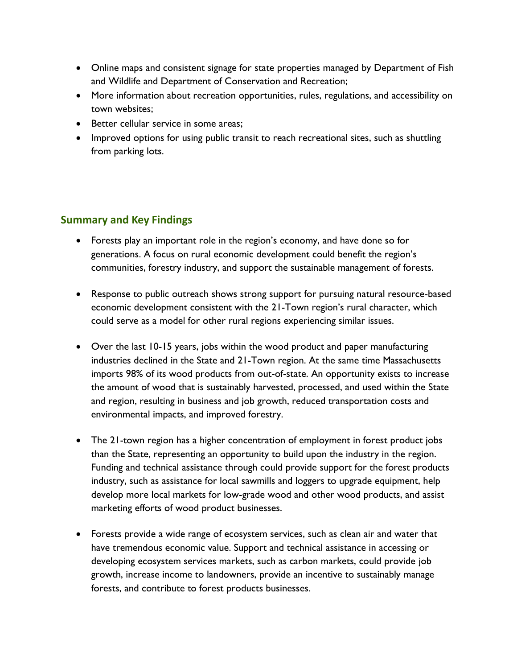- Online maps and consistent signage for state properties managed by Department of Fish and Wildlife and Department of Conservation and Recreation;
- More information about recreation opportunities, rules, regulations, and accessibility on town websites;
- Better cellular service in some areas;
- Improved options for using public transit to reach recreational sites, such as shuttling from parking lots.

### **Summary and Key Findings**

- Forests play an important role in the region's economy, and have done so for generations. A focus on rural economic development could benefit the region's communities, forestry industry, and support the sustainable management of forests.
- Response to public outreach shows strong support for pursuing natural resource-based economic development consistent with the 21-Town region's rural character, which could serve as a model for other rural regions experiencing similar issues.
- Over the last 10-15 years, jobs within the wood product and paper manufacturing industries declined in the State and 21-Town region. At the same time Massachusetts imports 98% of its wood products from out-of-state. An opportunity exists to increase the amount of wood that is sustainably harvested, processed, and used within the State and region, resulting in business and job growth, reduced transportation costs and environmental impacts, and improved forestry.
- The 21-town region has a higher concentration of employment in forest product jobs than the State, representing an opportunity to build upon the industry in the region. Funding and technical assistance through could provide support for the forest products industry, such as assistance for local sawmills and loggers to upgrade equipment, help develop more local markets for low-grade wood and other wood products, and assist marketing efforts of wood product businesses.
- Forests provide a wide range of ecosystem services, such as clean air and water that have tremendous economic value. Support and technical assistance in accessing or developing ecosystem services markets, such as carbon markets, could provide job growth, increase income to landowners, provide an incentive to sustainably manage forests, and contribute to forest products businesses.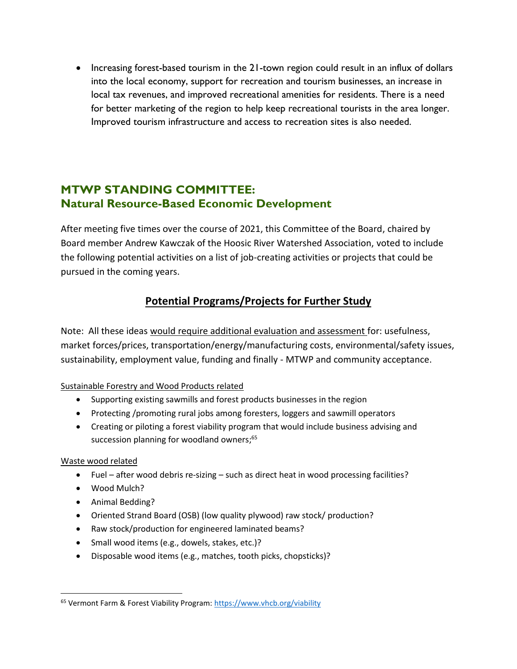• Increasing forest-based tourism in the 21-town region could result in an influx of dollars into the local economy, support for recreation and tourism businesses, an increase in local tax revenues, and improved recreational amenities for residents. There is a need for better marketing of the region to help keep recreational tourists in the area longer. Improved tourism infrastructure and access to recreation sites is also needed.

### **MTWP STANDING COMMITTEE: Natural Resource-Based Economic Development**

After meeting five times over the course of 2021, this Committee of the Board, chaired by Board member Andrew Kawczak of the Hoosic River Watershed Association, voted to include the following potential activities on a list of job-creating activities or projects that could be pursued in the coming years.

# **Potential Programs/Projects for Further Study**

Note: All these ideas would require additional evaluation and assessment for: usefulness, market forces/prices, transportation/energy/manufacturing costs, environmental/safety issues, sustainability, employment value, funding and finally - MTWP and community acceptance.

#### Sustainable Forestry and Wood Products related

- Supporting existing sawmills and forest products businesses in the region
- Protecting /promoting rural jobs among foresters, loggers and sawmill operators
- Creating or piloting a forest viability program that would include business advising and succession planning for woodland owners;<sup>65</sup>

#### Waste wood related

- Fuel after wood debris re-sizing such as direct heat in wood processing facilities?
- Wood Mulch?
- Animal Bedding?
- Oriented Strand Board (OSB) (low quality plywood) raw stock/ production?
- Raw stock/production for engineered laminated beams?
- Small wood items (e.g., dowels, stakes, etc.)?
- Disposable wood items (e.g., matches, tooth picks, chopsticks)?

<sup>&</sup>lt;sup>65</sup> Vermont Farm & Forest Viability Program: [https://www.vhcb.org/viability](about:blank)